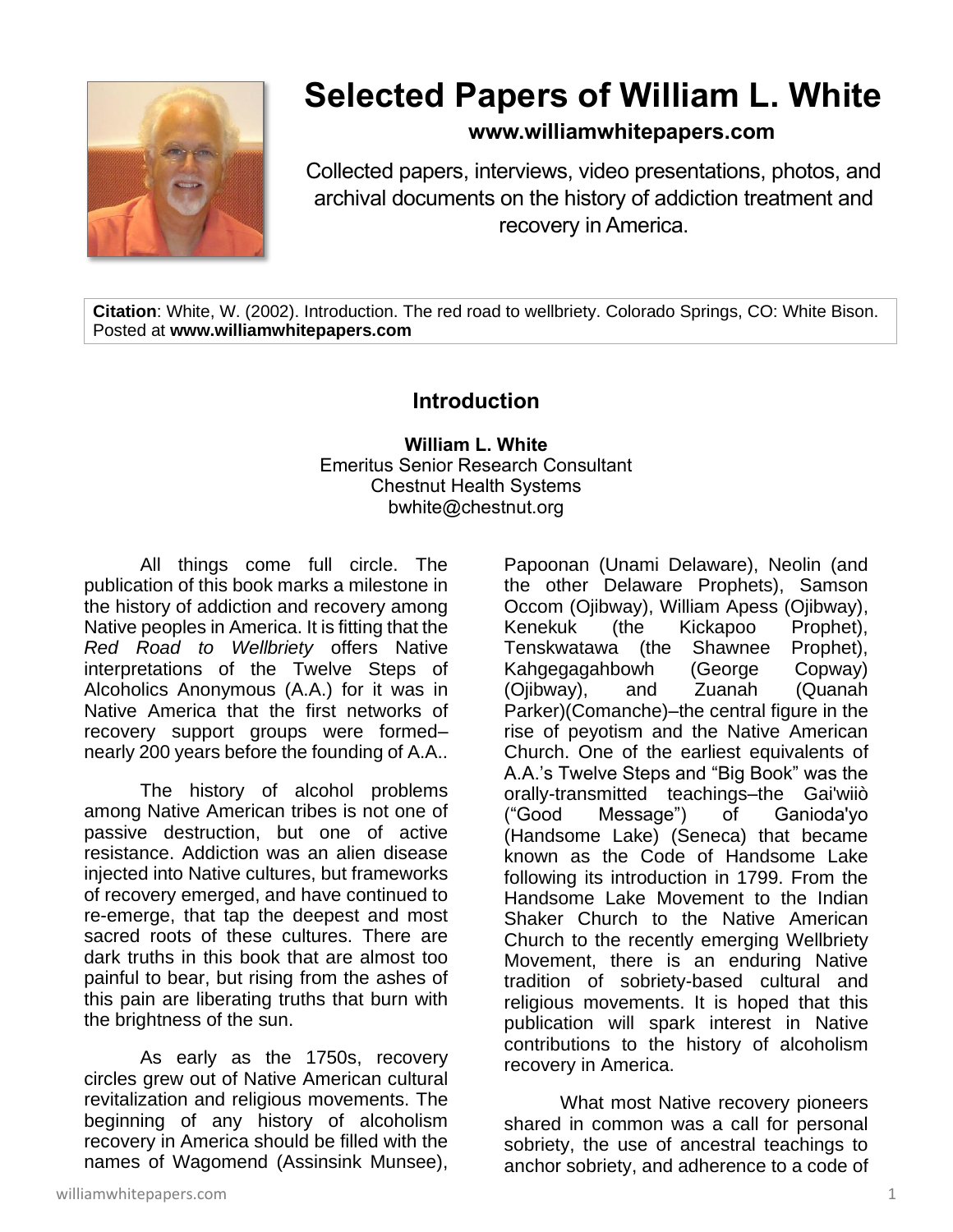

## **Selected Papers of William L. White**

**www.williamwhitepapers.com**

Collected papers, interviews, video presentations, photos, and archival documents on the history of addiction treatment and recovery in America.

**Citation**: White, W. (2002). Introduction. The red road to wellbriety. Colorado Springs, CO: White Bison. Posted at **www.williamwhitepapers.com**

## **Introduction**

**William L. White** Emeritus Senior Research Consultant Chestnut Health Systems bwhite@chestnut.org

All things come full circle. The publication of this book marks a milestone in the history of addiction and recovery among Native peoples in America. It is fitting that the *Red Road to Wellbriety* offers Native interpretations of the Twelve Steps of Alcoholics Anonymous (A.A.) for it was in Native America that the first networks of recovery support groups were formed– nearly 200 years before the founding of A.A..

The history of alcohol problems among Native American tribes is not one of passive destruction, but one of active resistance. Addiction was an alien disease injected into Native cultures, but frameworks of recovery emerged, and have continued to re-emerge, that tap the deepest and most sacred roots of these cultures. There are dark truths in this book that are almost too painful to bear, but rising from the ashes of this pain are liberating truths that burn with the brightness of the sun.

As early as the 1750s, recovery circles grew out of Native American cultural revitalization and religious movements. The beginning of any history of alcoholism recovery in America should be filled with the names of Wagomend (Assinsink Munsee),

Papoonan (Unami Delaware), Neolin (and the other Delaware Prophets), Samson Occom (Ojibway), William Apess (Ojibway), Kenekuk (the Kickapoo Prophet), Tenskwatawa (the Shawnee Prophet), Kahgegagahbowh (George Copway) (Ojibway), and Zuanah (Quanah Parker)(Comanche)–the central figure in the rise of peyotism and the Native American Church. One of the earliest equivalents of A.A.'s Twelve Steps and "Big Book" was the orally-transmitted teachings–the Gai'wiiò ("Good Message") of Ganioda'yo (Handsome Lake) (Seneca) that became known as the Code of Handsome Lake following its introduction in 1799. From the Handsome Lake Movement to the Indian Shaker Church to the Native American Church to the recently emerging Wellbriety Movement, there is an enduring Native tradition of sobriety-based cultural and religious movements. It is hoped that this publication will spark interest in Native contributions to the history of alcoholism recovery in America.

What most Native recovery pioneers shared in common was a call for personal sobriety, the use of ancestral teachings to anchor sobriety, and adherence to a code of